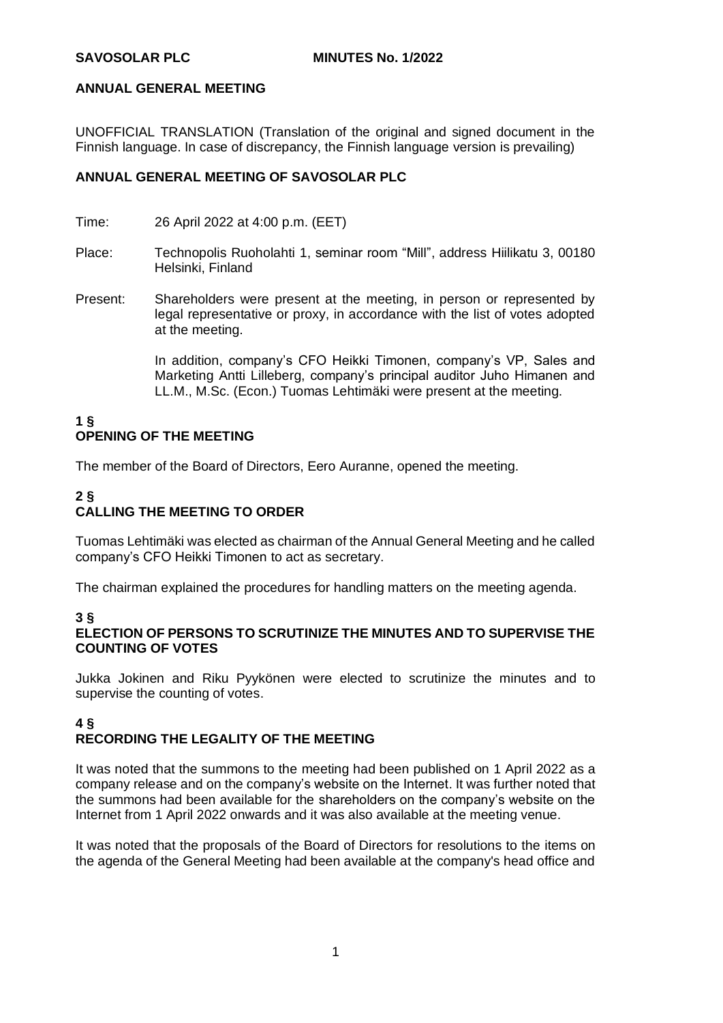UNOFFICIAL TRANSLATION (Translation of the original and signed document in the Finnish language. In case of discrepancy, the Finnish language version is prevailing)

#### **ANNUAL GENERAL MEETING OF SAVOSOLAR PLC**

- Time: 26 April 2022 at 4:00 p.m. (EET)
- Place: Technopolis Ruoholahti 1, seminar room "Mill", address Hiilikatu 3, 00180 Helsinki, Finland
- Present: Shareholders were present at the meeting, in person or represented by legal representative or proxy, in accordance with the list of votes adopted at the meeting.

In addition, company's CFO Heikki Timonen, company's VP, Sales and Marketing Antti Lilleberg, company's principal auditor Juho Himanen and LL.M., M.Sc. (Econ.) Tuomas Lehtimäki were present at the meeting.

#### **1 § OPENING OF THE MEETING**

The member of the Board of Directors, Eero Auranne, opened the meeting.

## **2 § CALLING THE MEETING TO ORDER**

Tuomas Lehtimäki was elected as chairman of the Annual General Meeting and he called company's CFO Heikki Timonen to act as secretary.

The chairman explained the procedures for handling matters on the meeting agenda.

#### **3 §**

#### **ELECTION OF PERSONS TO SCRUTINIZE THE MINUTES AND TO SUPERVISE THE COUNTING OF VOTES**

Jukka Jokinen and Riku Pyykönen were elected to scrutinize the minutes and to supervise the counting of votes.

# **4 § RECORDING THE LEGALITY OF THE MEETING**

It was noted that the summons to the meeting had been published on 1 April 2022 as a company release and on the company's website on the Internet. It was further noted that the summons had been available for the shareholders on the company's website on the Internet from 1 April 2022 onwards and it was also available at the meeting venue.

It was noted that the proposals of the Board of Directors for resolutions to the items on the agenda of the General Meeting had been available at the company's head office and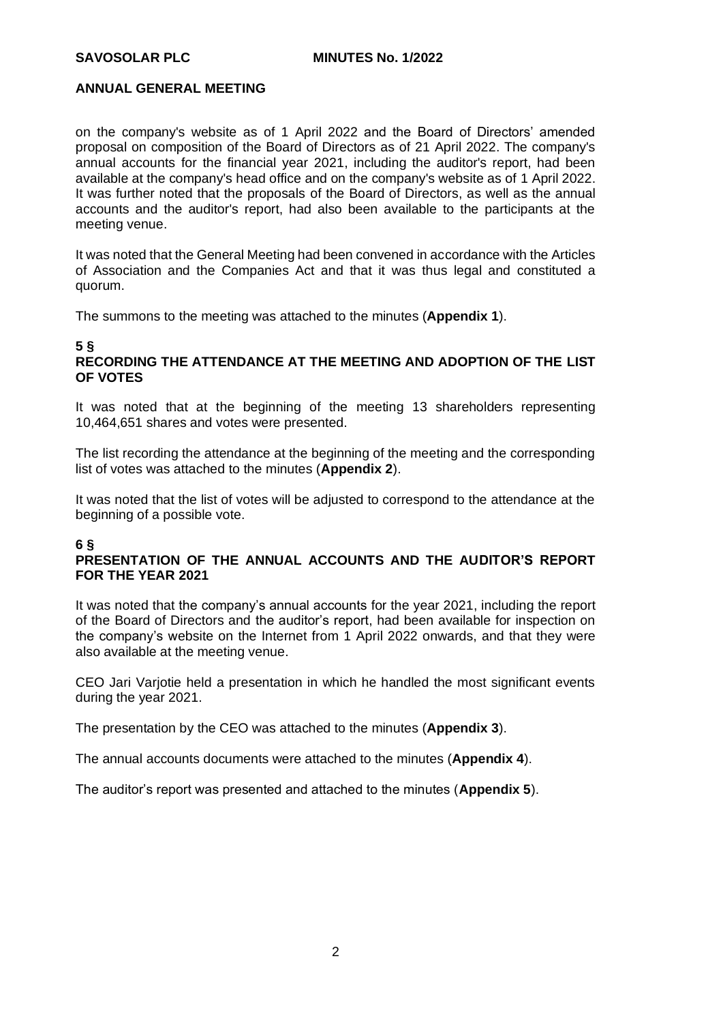on the company's website as of 1 April 2022 and the Board of Directors' amended proposal on composition of the Board of Directors as of 21 April 2022. The company's annual accounts for the financial year 2021, including the auditor's report, had been available at the company's head office and on the company's website as of 1 April 2022. It was further noted that the proposals of the Board of Directors, as well as the annual accounts and the auditor's report, had also been available to the participants at the meeting venue.

It was noted that the General Meeting had been convened in accordance with the Articles of Association and the Companies Act and that it was thus legal and constituted a quorum.

The summons to the meeting was attached to the minutes (**Appendix 1**).

#### **5 § RECORDING THE ATTENDANCE AT THE MEETING AND ADOPTION OF THE LIST OF VOTES**

It was noted that at the beginning of the meeting 13 shareholders representing 10,464,651 shares and votes were presented.

The list recording the attendance at the beginning of the meeting and the corresponding list of votes was attached to the minutes (**Appendix 2**).

It was noted that the list of votes will be adjusted to correspond to the attendance at the beginning of a possible vote.

#### **6 §**

#### **PRESENTATION OF THE ANNUAL ACCOUNTS AND THE AUDITOR'S REPORT FOR THE YEAR 2021**

It was noted that the company's annual accounts for the year 2021, including the report of the Board of Directors and the auditor's report, had been available for inspection on the company's website on the Internet from 1 April 2022 onwards, and that they were also available at the meeting venue.

CEO Jari Varjotie held a presentation in which he handled the most significant events during the year 2021.

The presentation by the CEO was attached to the minutes (**Appendix 3**).

The annual accounts documents were attached to the minutes (**Appendix 4**).

The auditor's report was presented and attached to the minutes (**Appendix 5**).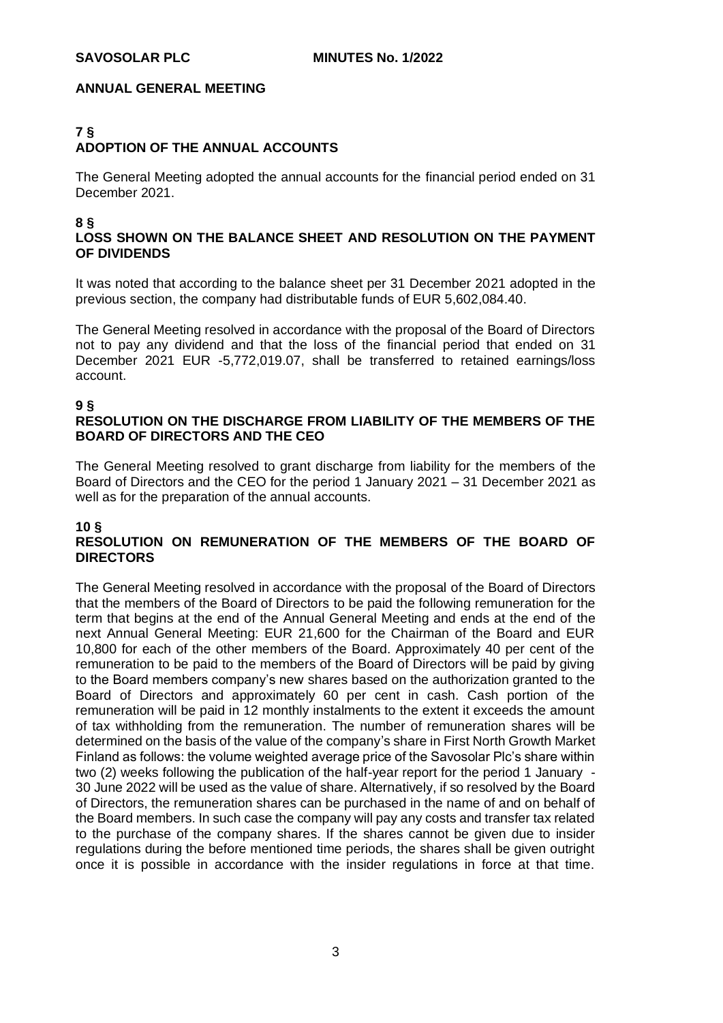#### **7 § ADOPTION OF THE ANNUAL ACCOUNTS**

The General Meeting adopted the annual accounts for the financial period ended on 31 December 2021.

#### **8 §**

## **LOSS SHOWN ON THE BALANCE SHEET AND RESOLUTION ON THE PAYMENT OF DIVIDENDS**

It was noted that according to the balance sheet per 31 December 2021 adopted in the previous section, the company had distributable funds of EUR 5,602,084.40.

The General Meeting resolved in accordance with the proposal of the Board of Directors not to pay any dividend and that the loss of the financial period that ended on 31 December 2021 EUR -5,772,019.07, shall be transferred to retained earnings/loss account.

#### **9 §**

## **RESOLUTION ON THE DISCHARGE FROM LIABILITY OF THE MEMBERS OF THE BOARD OF DIRECTORS AND THE CEO**

The General Meeting resolved to grant discharge from liability for the members of the Board of Directors and the CEO for the period 1 January 2021 – 31 December 2021 as well as for the preparation of the annual accounts.

## **10 §**

## **RESOLUTION ON REMUNERATION OF THE MEMBERS OF THE BOARD OF DIRECTORS**

The General Meeting resolved in accordance with the proposal of the Board of Directors that the members of the Board of Directors to be paid the following remuneration for the term that begins at the end of the Annual General Meeting and ends at the end of the next Annual General Meeting: EUR 21,600 for the Chairman of the Board and EUR 10,800 for each of the other members of the Board. Approximately 40 per cent of the remuneration to be paid to the members of the Board of Directors will be paid by giving to the Board members company's new shares based on the authorization granted to the Board of Directors and approximately 60 per cent in cash. Cash portion of the remuneration will be paid in 12 monthly instalments to the extent it exceeds the amount of tax withholding from the remuneration. The number of remuneration shares will be determined on the basis of the value of the company's share in First North Growth Market Finland as follows: the volume weighted average price of the Savosolar Plc's share within two (2) weeks following the publication of the half-year report for the period 1 January - 30 June 2022 will be used as the value of share. Alternatively, if so resolved by the Board of Directors, the remuneration shares can be purchased in the name of and on behalf of the Board members. In such case the company will pay any costs and transfer tax related to the purchase of the company shares. If the shares cannot be given due to insider regulations during the before mentioned time periods, the shares shall be given outright once it is possible in accordance with the insider regulations in force at that time.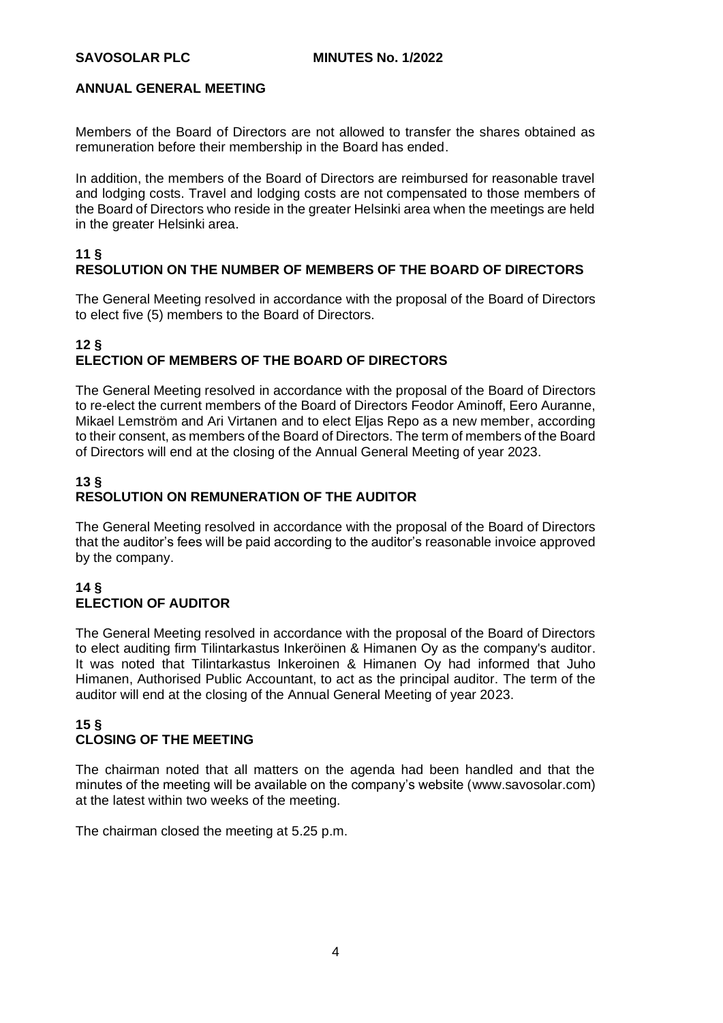Members of the Board of Directors are not allowed to transfer the shares obtained as remuneration before their membership in the Board has ended.

In addition, the members of the Board of Directors are reimbursed for reasonable travel and lodging costs. Travel and lodging costs are not compensated to those members of the Board of Directors who reside in the greater Helsinki area when the meetings are held in the greater Helsinki area.

## **11 § RESOLUTION ON THE NUMBER OF MEMBERS OF THE BOARD OF DIRECTORS**

The General Meeting resolved in accordance with the proposal of the Board of Directors to elect five (5) members to the Board of Directors.

## **12 § ELECTION OF MEMBERS OF THE BOARD OF DIRECTORS**

The General Meeting resolved in accordance with the proposal of the Board of Directors to re-elect the current members of the Board of Directors Feodor Aminoff, Eero Auranne, Mikael Lemström and Ari Virtanen and to elect Eljas Repo as a new member, according to their consent, as members of the Board of Directors. The term of members of the Board of Directors will end at the closing of the Annual General Meeting of year 2023.

## **13 § RESOLUTION ON REMUNERATION OF THE AUDITOR**

The General Meeting resolved in accordance with the proposal of the Board of Directors that the auditor's fees will be paid according to the auditor's reasonable invoice approved by the company.

## **14 § ELECTION OF AUDITOR**

The General Meeting resolved in accordance with the proposal of the Board of Directors to elect auditing firm Tilintarkastus Inkeröinen & Himanen Oy as the company's auditor. It was noted that Tilintarkastus Inkeroinen & Himanen Oy had informed that Juho Himanen, Authorised Public Accountant, to act as the principal auditor. The term of the auditor will end at the closing of the Annual General Meeting of year 2023.

## **15 § CLOSING OF THE MEETING**

The chairman noted that all matters on the agenda had been handled and that the minutes of the meeting will be available on the company's website (www.savosolar.com) at the latest within two weeks of the meeting.

The chairman closed the meeting at 5.25 p.m.